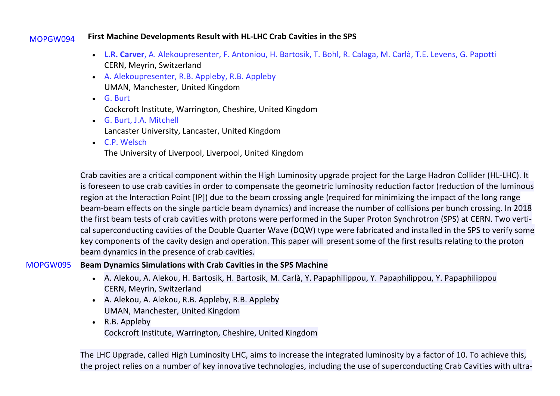#### MOPGW094 **First Machine Developments Result with HL-LHC Crab Cavities in the SPS**

- **L.R. Carver**, A. Alekoupresenter, F. Antoniou, H. Bartosik, T. Bohl, R. Calaga, M. Carlà, T.E. Levens, G. Papotti CERN, Meyrin, Switzerland
- A. Alekoupresenter, R.B. Appleby, R.B. Appleby UMAN, Manchester, United Kingdom
- G. Burt Cockcroft Institute, Warrington, Cheshire, United Kingdom
- G. Burt, J.A. Mitchell Lancaster University, Lancaster, United Kingdom
- C.P. Welsch

The University of Liverpool, Liverpool, United Kingdom

Crab cavities are a critical component within the High Luminosity upgrade project for the Large Hadron Collider (HL-LHC). It is foreseen to use crab cavities in order to compensate the geometric luminosity reduction factor (reduction of the luminous region at the Interaction Point [IP]) due to the beam crossing angle (required for minimizing the impact of the long range beam-beam effects on the single particle beam dynamics) and increase the number of collisions per bunch crossing. In 2018 the first beam tests of crab cavities with protons were performed in the Super Proton Synchrotron (SPS) at CERN. Two vertical superconducting cavities of the Double Quarter Wave (DQW) type were fabricated and installed in the SPS to verify some key components of the cavity design and operation. This paper will present some of the first results relating to the proton beam dynamics in the presence of crab cavities.

### MOPGW095 **Beam Dynamics Simulations with Crab Cavities in the SPS Machine**

- A. Alekou, A. Alekou, H. Bartosik, H. Bartosik, M. Carlà, Y. Papaphilippou, Y. Papaphilippou, Y. Papaphilippou CERN, Meyrin, Switzerland
- A. Alekou, A. Alekou, R.B. Appleby, R.B. Appleby UMAN, Manchester, United Kingdom
- R.B. Appleby Cockcroft Institute, Warrington, Cheshire, United Kingdom

The LHC Upgrade, called High Luminosity LHC, aims to increase the integrated luminosity by a factor of 10. To achieve this, the project relies on a number of key innovative technologies, including the use of superconducting Crab Cavities with ultra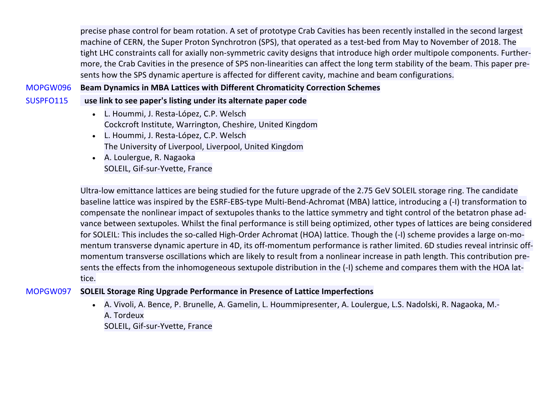precise phase control for beam rotation. A set of prototype Crab Cavities has been recently installed in the second largest machine of CERN, the Super Proton Synchrotron (SPS), that operated as a test-bed from May to November of 2018. The tight LHC constraints call for axially non-symmetric cavity designs that introduce high order multipole components. Furthermore, the Crab Cavities in the presence of SPS non-linearities can affect the long term stability of the beam. This paper presents how the SPS dynamic aperture is affected for different cavity, machine and beam configurations.

MOPGW096 **Beam Dynamics in MBA Lattices with Different Chromaticity Correction Schemes**

- SUSPFO115 **use link to see paper's listing under its alternate paper code**
	- L. Hoummi, J. Resta-López, C.P. Welsch Cockcroft Institute, Warrington, Cheshire, United Kingdom
	- L. Hoummi, J. Resta-López, C.P. Welsch The University of Liverpool, Liverpool, United Kingdom
	- A. Loulergue, R. Nagaoka SOLEIL, Gif-sur-Yvette, France

Ultra-low emittance lattices are being studied for the future upgrade of the 2.75 GeV SOLEIL storage ring. The candidate baseline lattice was inspired by the ESRF-EBS-type Multi-Bend-Achromat (MBA) lattice, introducing a (-I) transformation to compensate the nonlinear impact of sextupoles thanks to the lattice symmetry and tight control of the betatron phase advance between sextupoles. Whilst the final performance is still being optimized, other types of lattices are being considered for SOLEIL: This includes the so-called High-Order Achromat (HOA) lattice. Though the (-I) scheme provides a large on-momentum transverse dynamic aperture in 4D, its off-momentum performance is rather limited. 6D studies reveal intrinsic offmomentum transverse oscillations which are likely to result from a nonlinear increase in path length. This contribution presents the effects from the inhomogeneous sextupole distribution in the (-I) scheme and compares them with the HOA lattice.

### MOPGW097 **SOLEIL Storage Ring Upgrade Performance in Presence of Lattice Imperfections**

• A. Vivoli, A. Bence, P. Brunelle, A. Gamelin, L. Hoummipresenter, A. Loulergue, L.S. Nadolski, R. Nagaoka, M.- A. Tordeux SOLEIL, Gif-sur-Yvette, France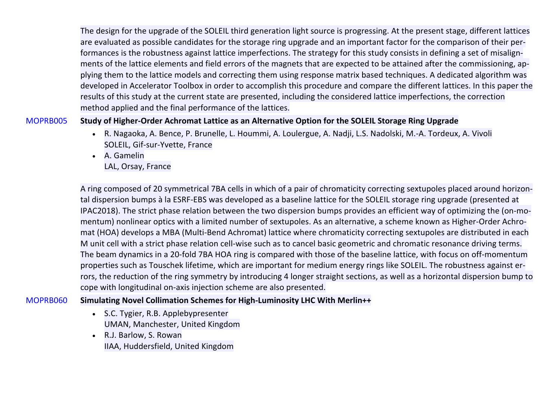The design for the upgrade of the SOLEIL third generation light source is progressing. At the present stage, different lattices are evaluated as possible candidates for the storage ring upgrade and an important factor for the comparison of their performances is the robustness against lattice imperfections. The strategy for this study consists in defining a set of misalignments of the lattice elements and field errors of the magnets that are expected to be attained after the commissioning, applying them to the lattice models and correcting them using response matrix based techniques. A dedicated algorithm was developed in Accelerator Toolbox in order to accomplish this procedure and compare the different lattices. In this paper the results of this study at the current state are presented, including the considered lattice imperfections, the correction method applied and the final performance of the lattices.

### MOPRB005 **Study of Higher-Order Achromat Lattice as an Alternative Option for the SOLEIL Storage Ring Upgrade**

- R. Nagaoka, A. Bence, P. Brunelle, L. Hoummi, A. Loulergue, A. Nadji, L.S. Nadolski, M.-A. Tordeux, A. Vivoli SOLEIL, Gif-sur-Yvette, France
- A. Gamelin LAL, Orsay, France

A ring composed of 20 symmetrical 7BA cells in which of a pair of chromaticity correcting sextupoles placed around horizontal dispersion bumps à la ESRF-EBS was developed as a baseline lattice for the SOLEIL storage ring upgrade (presented at IPAC2018). The strict phase relation between the two dispersion bumps provides an efficient way of optimizing the (on-momentum) nonlinear optics with a limited number of sextupoles. As an alternative, a scheme known as Higher-Order Achromat (HOA) develops a MBA (Multi-Bend Achromat) lattice where chromaticity correcting sextupoles are distributed in each M unit cell with a strict phase relation cell-wise such as to cancel basic geometric and chromatic resonance driving terms. The beam dynamics in a 20-fold 7BA HOA ring is compared with those of the baseline lattice, with focus on off-momentum properties such as Touschek lifetime, which are important for medium energy rings like SOLEIL. The robustness against errors, the reduction of the ring symmetry by introducing 4 longer straight sections, as well as a horizontal dispersion bump to cope with longitudinal on-axis injection scheme are also presented.

### MOPRB060 **Simulating Novel Collimation Schemes for High-Luminosity LHC With Merlin++**

- S.C. Tygier, R.B. Applebypresenter UMAN, Manchester, United Kingdom
- R.J. Barlow, S. Rowan IIAA, Huddersfield, United Kingdom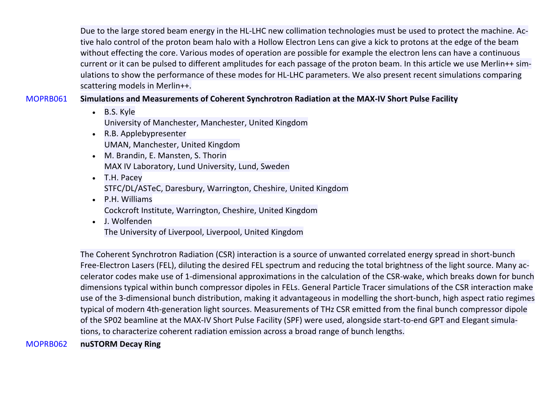Due to the large stored beam energy in the HL-LHC new collimation technologies must be used to protect the machine. Active halo control of the proton beam halo with a Hollow Electron Lens can give a kick to protons at the edge of the beam without effecting the core. Various modes of operation are possible for example the electron lens can have a continuous current or it can be pulsed to different amplitudes for each passage of the proton beam. In this article we use Merlin++ simulations to show the performance of these modes for HL-LHC parameters. We also present recent simulations comparing scattering models in Merlin++.

### MOPRB061 **Simulations and Measurements of Coherent Synchrotron Radiation at the MAX-IV Short Pulse Facility**

- B.S. Kyle University of Manchester, Manchester, United Kingdom
- R.B. Applebypresenter UMAN, Manchester, United Kingdom
- M. Brandin, E. Mansten, S. Thorin MAX IV Laboratory, Lund University, Lund, Sweden
- T.H. Pacey STFC/DL/ASTeC, Daresbury, Warrington, Cheshire, United Kingdom
- P.H. Williams Cockcroft Institute, Warrington, Cheshire, United Kingdom
- J. Wolfenden

The University of Liverpool, Liverpool, United Kingdom

The Coherent Synchrotron Radiation (CSR) interaction is a source of unwanted correlated energy spread in short-bunch Free-Electron Lasers (FEL), diluting the desired FEL spectrum and reducing the total brightness of the light source. Many accelerator codes make use of 1-dimensional approximations in the calculation of the CSR-wake, which breaks down for bunch dimensions typical within bunch compressor dipoles in FELs. General Particle Tracer simulations of the CSR interaction make use of the 3-dimensional bunch distribution, making it advantageous in modelling the short-bunch, high aspect ratio regimes typical of modern 4th-generation light sources. Measurements of THz CSR emitted from the final bunch compressor dipole of the SP02 beamline at the MAX-IV Short Pulse Facility (SPF) were used, alongside start-to-end GPT and Elegant simulations, to characterize coherent radiation emission across a broad range of bunch lengths.

MOPRB062 **nuSTORM Decay Ring**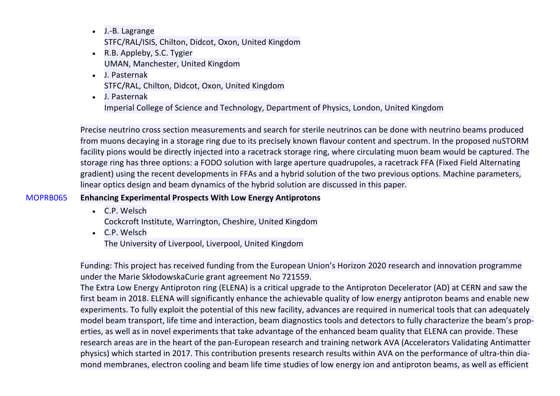- J.-B. Lagrange STFC/RAL/ISIS, Chilton, Didcot, Oxon, United Kingdom
- R.B. Appleby, S.C. Tygier UMAN, Manchester, United Kingdom
- J. Pasternak STFC/RAL, Chilton, Didcot, Oxon, United Kingdom
- J. Pasternak Imperial College of Science and Technology, Department of Physics, London, United Kingdom

Precise neutrino cross section measurements and search for sterile neutrinos can be done with neutrino beams produced from muons decaying in a storage ring due to its precisely known flavour content and spectrum. In the proposed nuSTORM facility pions would be directly injected into a racetrack storage ring, where circulating muon beam would be captured. The storage ring has three options: a FODO solution with large aperture quadrupoles, a racetrack FFA (Fixed Field Alternating gradient) using the recent developments in FFAs and a hybrid solution of the two previous options. Machine parameters, linear optics design and beam dynamics of the hybrid solution are discussed in this paper.

## MOPRB065 **Enhancing Experimental Prospects With Low Energy Antiprotons**

- C.P. Welsch Cockcroft Institute, Warrington, Cheshire, United Kingdom
- C.P. Welsch The University of Liverpool, Liverpool, United Kingdom

Funding: This project has received funding from the European Union's Horizon 2020 research and innovation programme under the Marie SkłodowskaCurie grant agreement No 721559.

The Extra Low Energy Antiproton ring (ELENA) is a critical upgrade to the Antiproton Decelerator (AD) at CERN and saw the first beam in 2018. ELENA will significantly enhance the achievable quality of low energy antiproton beams and enable new experiments. To fully exploit the potential of this new facility, advances are required in numerical tools that can adequately model beam transport, life time and interaction, beam diagnostics tools and detectors to fully characterize the beam's properties, as well as in novel experiments that take advantage of the enhanced beam quality that ELENA can provide. These research areas are in the heart of the pan-European research and training network AVA (Accelerators Validating Antimatter physics) which started in 2017. This contribution presents research results within AVA on the performance of ultra-thin diamond membranes, electron cooling and beam life time studies of low energy ion and antiproton beams, as well as efficient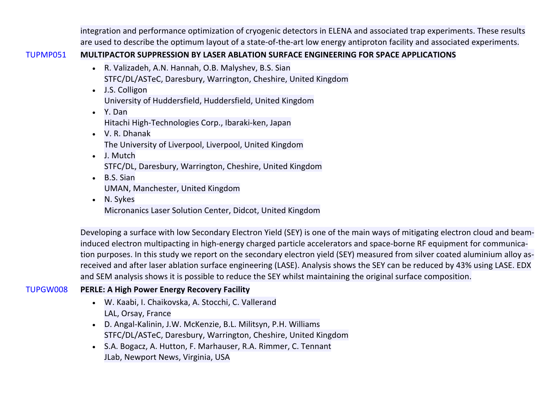integration and performance optimization of cryogenic detectors in ELENA and associated trap experiments. These results are used to describe the optimum layout of a state-of-the-art low energy antiproton facility and associated experiments.

## TUPMP051 **MULTIPACTOR SUPPRESSION BY LASER ABLATION SURFACE ENGINEERING FOR SPACE APPLICATIONS**

- R. Valizadeh, A.N. Hannah, O.B. Malyshev, B.S. Sian STFC/DL/ASTeC, Daresbury, Warrington, Cheshire, United Kingdom
- J.S. Colligon University of Huddersfield, Huddersfield, United Kingdom
- Y. Dan Hitachi High-Technologies Corp., Ibaraki-ken, Japan
- V. R. Dhanak The University of Liverpool, Liverpool, United Kingdom
- J. Mutch STFC/DL, Daresbury, Warrington, Cheshire, United Kingdom
- B.S. Sian UMAN, Manchester, United Kingdom
- N. Sykes Micronanics Laser Solution Center, Didcot, United Kingdom

Developing a surface with low Secondary Electron Yield (SEY) is one of the main ways of mitigating electron cloud and beaminduced electron multipacting in high-energy charged particle accelerators and space-borne RF equipment for communication purposes. In this study we report on the secondary electron yield (SEY) measured from silver coated aluminium alloy asreceived and after laser ablation surface engineering (LASE). Analysis shows the SEY can be reduced by 43% using LASE. EDX and SEM analysis shows it is possible to reduce the SEY whilst maintaining the original surface composition.

# TUPGW008 **PERLE: A High Power Energy Recovery Facility**

- W. Kaabi, I. Chaikovska, A. Stocchi, C. Vallerand LAL, Orsay, France
- D. Angal-Kalinin, J.W. McKenzie, B.L. Militsyn, P.H. Williams STFC/DL/ASTeC, Daresbury, Warrington, Cheshire, United Kingdom
- S.A. Bogacz, A. Hutton, F. Marhauser, R.A. Rimmer, C. Tennant JLab, Newport News, Virginia, USA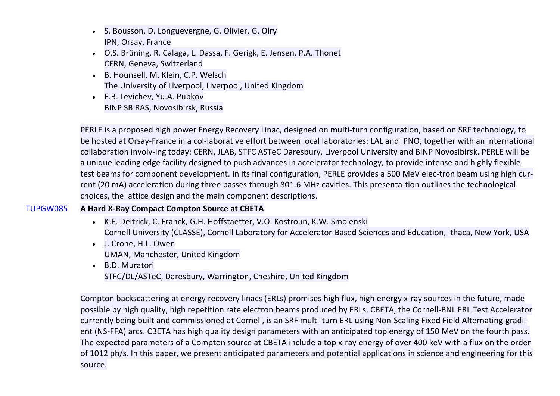- S. Bousson, D. Longuevergne, G. Olivier, G. Olry IPN, Orsay, France
- O.S. Brüning, R. Calaga, L. Dassa, F. Gerigk, E. Jensen, P.A. Thonet CERN, Geneva, Switzerland
- B. Hounsell, M. Klein, C.P. Welsch The University of Liverpool, Liverpool, United Kingdom
- E.B. Levichev, Yu.A. Pupkov BINP SB RAS, Novosibirsk, Russia

PERLE is a proposed high power Energy Recovery Linac, designed on multi-turn configuration, based on SRF technology, to be hosted at Orsay-France in a col-laborative effort between local laboratories: LAL and IPNO, together with an international collaboration involv-ing today: CERN, JLAB, STFC ASTeC Daresbury, Liverpool University and BINP Novosibirsk. PERLE will be a unique leading edge facility designed to push advances in accelerator technology, to provide intense and highly flexible test beams for component development. In its final configuration, PERLE provides a 500 MeV elec-tron beam using high current (20 mA) acceleration during three passes through 801.6 MHz cavities. This presenta-tion outlines the technological choices, the lattice design and the main component descriptions.

# TUPGW085 **A Hard X-Ray Compact Compton Source at CBETA**

- K.E. Deitrick, C. Franck, G.H. Hoffstaetter, V.O. Kostroun, K.W. Smolenski Cornell University (CLASSE), Cornell Laboratory for Accelerator-Based Sciences and Education, Ithaca, New York, USA
- J. Crone, H.L. Owen UMAN, Manchester, United Kingdom
- B.D. Muratori STFC/DL/ASTeC, Daresbury, Warrington, Cheshire, United Kingdom

Compton backscattering at energy recovery linacs (ERLs) promises high flux, high energy x-ray sources in the future, made possible by high quality, high repetition rate electron beams produced by ERLs. CBETA, the Cornell-BNL ERL Test Accelerator currently being built and commissioned at Cornell, is an SRF multi-turn ERL using Non-Scaling Fixed Field Alternating-gradient (NS-FFA) arcs. CBETA has high quality design parameters with an anticipated top energy of 150 MeV on the fourth pass. The expected parameters of a Compton source at CBETA include a top x-ray energy of over 400 keV with a flux on the order of 1012 ph/s. In this paper, we present anticipated parameters and potential applications in science and engineering for this source.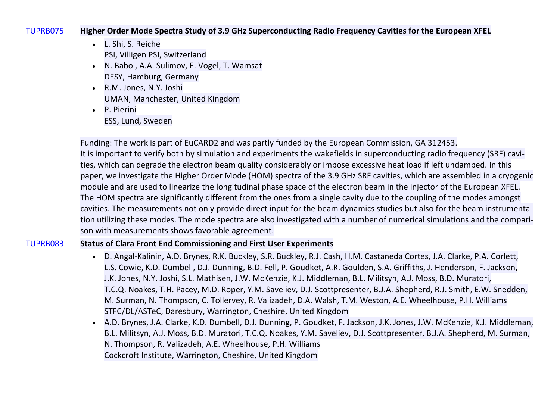#### TUPRB075 **Higher Order Mode Spectra Study of 3.9 GHz Superconducting Radio Frequency Cavities for the European XFEL**

- L. Shi, S. Reiche PSI, Villigen PSI, Switzerland
- N. Baboi, A.A. Sulimov, E. Vogel, T. Wamsat DESY, Hamburg, Germany
- R.M. Jones, N.Y. Joshi UMAN, Manchester, United Kingdom
- P. Pierini ESS, Lund, Sweden

Funding: The work is part of EuCARD2 and was partly funded by the European Commission, GA 312453. It is important to verify both by simulation and experiments the wakefields in superconducting radio frequency (SRF) cavities, which can degrade the electron beam quality considerably or impose excessive heat load if left undamped. In this paper, we investigate the Higher Order Mode (HOM) spectra of the 3.9 GHz SRF cavities, which are assembled in a cryogenic module and are used to linearize the longitudinal phase space of the electron beam in the injector of the European XFEL. The HOM spectra are significantly different from the ones from a single cavity due to the coupling of the modes amongst cavities. The measurements not only provide direct input for the beam dynamics studies but also for the beam instrumentation utilizing these modes. The mode spectra are also investigated with a number of numerical simulations and the comparison with measurements shows favorable agreement.

## TUPRB083 **Status of Clara Front End Commissioning and First User Experiments**

- D. Angal-Kalinin, A.D. Brynes, R.K. Buckley, S.R. Buckley, R.J. Cash, H.M. Castaneda Cortes, J.A. Clarke, P.A. Corlett, L.S. Cowie, K.D. Dumbell, D.J. Dunning, B.D. Fell, P. Goudket, A.R. Goulden, S.A. Griffiths, J. Henderson, F. Jackson, J.K. Jones, N.Y. Joshi, S.L. Mathisen, J.W. McKenzie, K.J. Middleman, B.L. Militsyn, A.J. Moss, B.D. Muratori, T.C.Q. Noakes, T.H. Pacey, M.D. Roper, Y.M. Saveliev, D.J. Scottpresenter, B.J.A. Shepherd, R.J. Smith, E.W. Snedden, M. Surman, N. Thompson, C. Tollervey, R. Valizadeh, D.A. Walsh, T.M. Weston, A.E. Wheelhouse, P.H. Williams STFC/DL/ASTeC, Daresbury, Warrington, Cheshire, United Kingdom
- A.D. Brynes, J.A. Clarke, K.D. Dumbell, D.J. Dunning, P. Goudket, F. Jackson, J.K. Jones, J.W. McKenzie, K.J. Middleman, B.L. Militsyn, A.J. Moss, B.D. Muratori, T.C.Q. Noakes, Y.M. Saveliev, D.J. Scottpresenter, B.J.A. Shepherd, M. Surman, N. Thompson, R. Valizadeh, A.E. Wheelhouse, P.H. Williams Cockcroft Institute, Warrington, Cheshire, United Kingdom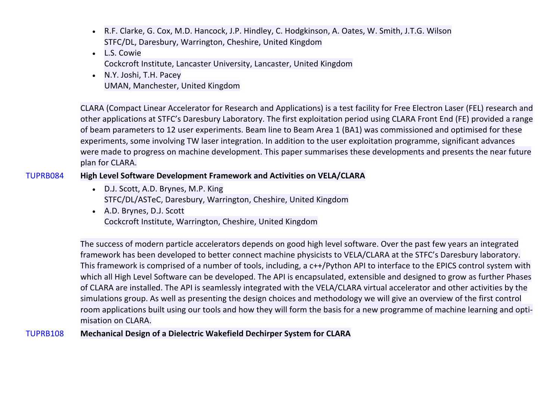- R.F. Clarke, G. Cox, M.D. Hancock, J.P. Hindley, C. Hodgkinson, A. Oates, W. Smith, J.T.G. Wilson STFC/DL, Daresbury, Warrington, Cheshire, United Kingdom
- L.S. Cowie Cockcroft Institute, Lancaster University, Lancaster, United Kingdom
- N.Y. Joshi, T.H. Pacey UMAN, Manchester, United Kingdom

CLARA (Compact Linear Accelerator for Research and Applications) is a test facility for Free Electron Laser (FEL) research and other applications at STFC's Daresbury Laboratory. The first exploitation period using CLARA Front End (FE) provided a range of beam parameters to 12 user experiments. Beam line to Beam Area 1 (BA1) was commissioned and optimised for these experiments, some involving TW laser integration. In addition to the user exploitation programme, significant advances were made to progress on machine development. This paper summarises these developments and presents the near future plan for CLARA.

## TUPRB084 **High Level Software Development Framework and Activities on VELA/CLARA**

- D.J. Scott, A.D. Brynes, M.P. King STFC/DL/ASTeC, Daresbury, Warrington, Cheshire, United Kingdom
- A.D. Brynes, D.J. Scott Cockcroft Institute, Warrington, Cheshire, United Kingdom

The success of modern particle accelerators depends on good high level software. Over the past few years an integrated framework has been developed to better connect machine physicists to VELA/CLARA at the STFC's Daresbury laboratory. This framework is comprised of a number of tools, including, a c++/Python API to interface to the EPICS control system with which all High Level Software can be developed. The API is encapsulated, extensible and designed to grow as further Phases of CLARA are installed. The API is seamlessly integrated with the VELA/CLARA virtual accelerator and other activities by the simulations group. As well as presenting the design choices and methodology we will give an overview of the first control room applications built using our tools and how they will form the basis for a new programme of machine learning and optimisation on CLARA.

### TUPRB108 **Mechanical Design of a Dielectric Wakefield Dechirper System for CLARA**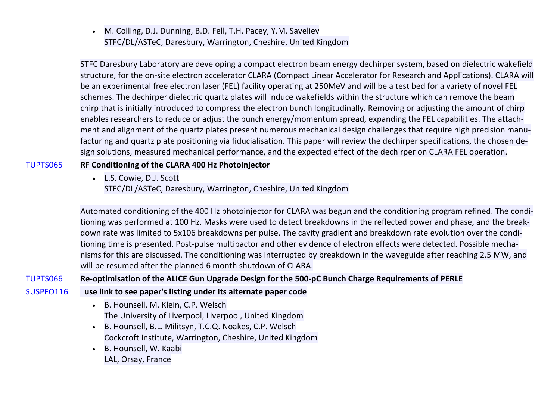• M. Colling, D.J. Dunning, B.D. Fell, T.H. Pacey, Y.M. Saveliev STFC/DL/ASTeC, Daresbury, Warrington, Cheshire, United Kingdom

STFC Daresbury Laboratory are developing a compact electron beam energy dechirper system, based on dielectric wakefield structure, for the on-site electron accelerator CLARA (Compact Linear Accelerator for Research and Applications). CLARA will be an experimental free electron laser (FEL) facility operating at 250MeV and will be a test bed for a variety of novel FEL schemes. The dechirper dielectric quartz plates will induce wakefields within the structure which can remove the beam chirp that is initially introduced to compress the electron bunch longitudinally. Removing or adjusting the amount of chirp enables researchers to reduce or adjust the bunch energy/momentum spread, expanding the FEL capabilities. The attachment and alignment of the quartz plates present numerous mechanical design challenges that require high precision manufacturing and quartz plate positioning via fiducialisation. This paper will review the dechirper specifications, the chosen design solutions, measured mechanical performance, and the expected effect of the dechirper on CLARA FEL operation.

## TUPTS065 **RF Conditioning of the CLARA 400 Hz Photoinjector**

• L.S. Cowie, D.J. Scott

STFC/DL/ASTeC, Daresbury, Warrington, Cheshire, United Kingdom

Automated conditioning of the 400 Hz photoinjector for CLARA was begun and the conditioning program refined. The conditioning was performed at 100 Hz. Masks were used to detect breakdowns in the reflected power and phase, and the breakdown rate was limited to 5x106 breakdowns per pulse. The cavity gradient and breakdown rate evolution over the conditioning time is presented. Post-pulse multipactor and other evidence of electron effects were detected. Possible mechanisms for this are discussed. The conditioning was interrupted by breakdown in the waveguide after reaching 2.5 MW, and will be resumed after the planned 6 month shutdown of CLARA.

TUPTS066 **Re-optimisation of the ALICE Gun Upgrade Design for the 500-pC Bunch Charge Requirements of PERLE**

- SUSPFO116 **use link to see paper's listing under its alternate paper code**
	- B. Hounsell, M. Klein, C.P. Welsch The University of Liverpool, Liverpool, United Kingdom
	- B. Hounsell, B.L. Militsyn, T.C.Q. Noakes, C.P. Welsch Cockcroft Institute, Warrington, Cheshire, United Kingdom
	- B. Hounsell, W. Kaabi LAL, Orsay, France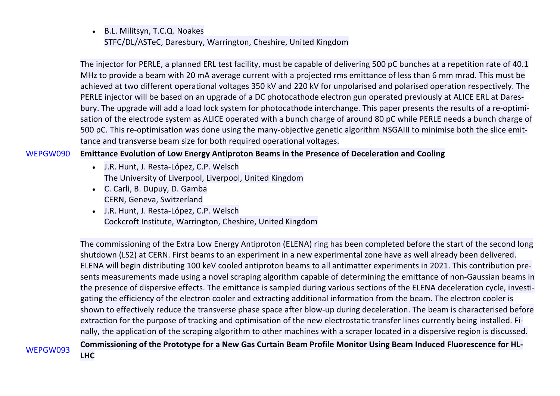• B.L. Militsyn, T.C.Q. Noakes STFC/DL/ASTeC, Daresbury, Warrington, Cheshire, United Kingdom

The injector for PERLE, a planned ERL test facility, must be capable of delivering 500 pC bunches at a repetition rate of 40.1 MHz to provide a beam with 20 mA average current with a projected rms emittance of less than 6 mm mrad. This must be achieved at two different operational voltages 350 kV and 220 kV for unpolarised and polarised operation respectively. The PERLE injector will be based on an upgrade of a DC photocathode electron gun operated previously at ALICE ERL at Daresbury. The upgrade will add a load lock system for photocathode interchange. This paper presents the results of a re-optimisation of the electrode system as ALICE operated with a bunch charge of around 80 pC while PERLE needs a bunch charge of 500 pC. This re-optimisation was done using the many-objective genetic algorithm NSGAIII to minimise both the slice emittance and transverse beam size for both required operational voltages.

### WEPGW090 **Emittance Evolution of Low Energy Antiproton Beams in the Presence of Deceleration and Cooling**

- J.R. Hunt, J. Resta-López, C.P. Welsch The University of Liverpool, Liverpool, United Kingdom
- C. Carli, B. Dupuy, D. Gamba CERN, Geneva, Switzerland
- J.R. Hunt, J. Resta-López, C.P. Welsch Cockcroft Institute, Warrington, Cheshire, United Kingdom

The commissioning of the Extra Low Energy Antiproton (ELENA) ring has been completed before the start of the second long shutdown (LS2) at CERN. First beams to an experiment in a new experimental zone have as well already been delivered. ELENA will begin distributing 100 keV cooled antiproton beams to all antimatter experiments in 2021. This contribution presents measurements made using a novel scraping algorithm capable of determining the emittance of non-Gaussian beams in the presence of dispersive effects. The emittance is sampled during various sections of the ELENA deceleration cycle, investigating the efficiency of the electron cooler and extracting additional information from the beam. The electron cooler is shown to effectively reduce the transverse phase space after blow-up during deceleration. The beam is characterised before extraction for the purpose of tracking and optimisation of the new electrostatic transfer lines currently being installed. Finally, the application of the scraping algorithm to other machines with a scraper located in a dispersive region is discussed. WEPGW093 **Commissioning of the Prototype for a New Gas Curtain Beam Profile Monitor Using Beam Induced Fluorescence for HL-**

**LHC**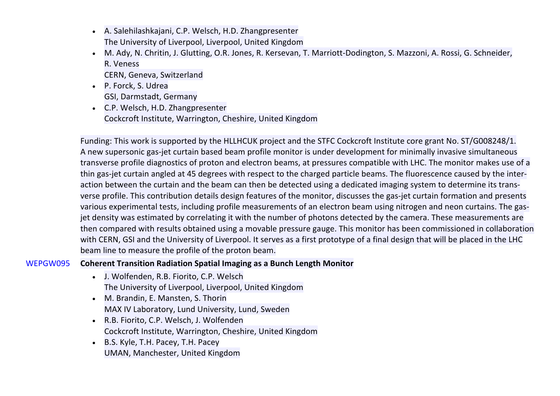- A. Salehilashkajani, C.P. Welsch, H.D. Zhangpresenter The University of Liverpool, Liverpool, United Kingdom
- M. Ady, N. Chritin, J. Glutting, O.R. Jones, R. Kersevan, T. Marriott-Dodington, S. Mazzoni, A. Rossi, G. Schneider, R. Veness

CERN, Geneva, Switzerland

- P. Forck, S. Udrea GSI, Darmstadt, Germany
- C.P. Welsch, H.D. Zhangpresenter Cockcroft Institute, Warrington, Cheshire, United Kingdom

Funding: This work is supported by the HLLHCUK project and the STFC Cockcroft Institute core grant No. ST/G008248/1. A new supersonic gas-jet curtain based beam profile monitor is under development for minimally invasive simultaneous transverse profile diagnostics of proton and electron beams, at pressures compatible with LHC. The monitor makes use of a thin gas-jet curtain angled at 45 degrees with respect to the charged particle beams. The fluorescence caused by the interaction between the curtain and the beam can then be detected using a dedicated imaging system to determine its transverse profile. This contribution details design features of the monitor, discusses the gas-jet curtain formation and presents various experimental tests, including profile measurements of an electron beam using nitrogen and neon curtains. The gasjet density was estimated by correlating it with the number of photons detected by the camera. These measurements are then compared with results obtained using a movable pressure gauge. This monitor has been commissioned in collaboration with CERN, GSI and the University of Liverpool. It serves as a first prototype of a final design that will be placed in the LHC beam line to measure the profile of the proton beam.

## WEPGW095 **Coherent Transition Radiation Spatial Imaging as a Bunch Length Monitor**

- J. Wolfenden, R.B. Fiorito, C.P. Welsch The University of Liverpool, Liverpool, United Kingdom
- M. Brandin, E. Mansten, S. Thorin MAX IV Laboratory, Lund University, Lund, Sweden
- R.B. Fiorito, C.P. Welsch, J. Wolfenden Cockcroft Institute, Warrington, Cheshire, United Kingdom
- B.S. Kyle, T.H. Pacey, T.H. Pacey UMAN, Manchester, United Kingdom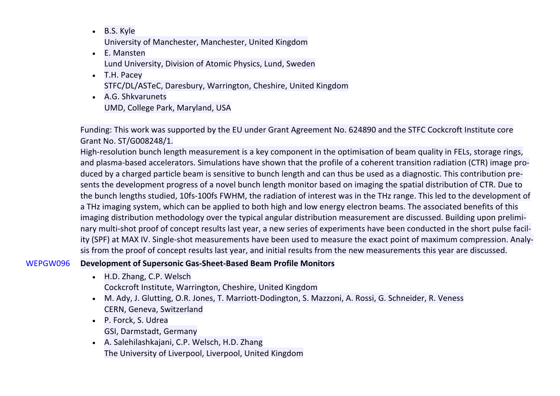- B.S. Kyle University of Manchester, Manchester, United Kingdom
- E. Mansten Lund University, Division of Atomic Physics, Lund, Sweden
- T.H. Pacey STFC/DL/ASTeC, Daresbury, Warrington, Cheshire, United Kingdom
- A.G. Shkvarunets UMD, College Park, Maryland, USA

Funding: This work was supported by the EU under Grant Agreement No. 624890 and the STFC Cockcroft Institute core Grant No. ST/G008248/1.

High-resolution bunch length measurement is a key component in the optimisation of beam quality in FELs, storage rings, and plasma-based accelerators. Simulations have shown that the profile of a coherent transition radiation (CTR) image produced by a charged particle beam is sensitive to bunch length and can thus be used as a diagnostic. This contribution presents the development progress of a novel bunch length monitor based on imaging the spatial distribution of CTR. Due to the bunch lengths studied, 10fs-100fs FWHM, the radiation of interest was in the THz range. This led to the development of a THz imaging system, which can be applied to both high and low energy electron beams. The associated benefits of this imaging distribution methodology over the typical angular distribution measurement are discussed. Building upon preliminary multi-shot proof of concept results last year, a new series of experiments have been conducted in the short pulse facility (SPF) at MAX IV. Single-shot measurements have been used to measure the exact point of maximum compression. Analysis from the proof of concept results last year, and initial results from the new measurements this year are discussed.

## WEPGW096 **Development of Supersonic Gas-Sheet-Based Beam Profile Monitors**

- H.D. Zhang, C.P. Welsch
	- Cockcroft Institute, Warrington, Cheshire, United Kingdom
- M. Ady, J. Glutting, O.R. Jones, T. Marriott-Dodington, S. Mazzoni, A. Rossi, G. Schneider, R. Veness CERN, Geneva, Switzerland
- P. Forck, S. Udrea GSI, Darmstadt, Germany
- A. Salehilashkajani, C.P. Welsch, H.D. Zhang The University of Liverpool, Liverpool, United Kingdom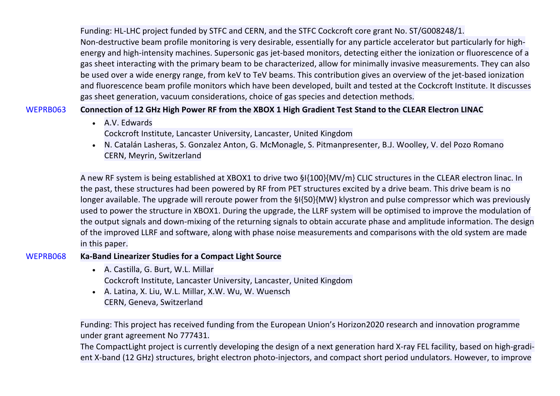Funding: HL-LHC project funded by STFC and CERN, and the STFC Cockcroft core grant No. ST/G008248/1. Non-destructive beam profile monitoring is very desirable, essentially for any particle accelerator but particularly for highenergy and high-intensity machines. Supersonic gas jet-based monitors, detecting either the ionization or fluorescence of a gas sheet interacting with the primary beam to be characterized, allow for minimally invasive measurements. They can also be used over a wide energy range, from keV to TeV beams. This contribution gives an overview of the jet-based ionization and fluorescence beam profile monitors which have been developed, built and tested at the Cockcroft Institute. It discusses gas sheet generation, vacuum considerations, choice of gas species and detection methods.

## WEPRB063 **Connection of 12 GHz High Power RF from the XBOX 1 High Gradient Test Stand to the CLEAR Electron LINAC**

- A.V. Edwards Cockcroft Institute, Lancaster University, Lancaster, United Kingdom
- N. Catalán Lasheras, S. Gonzalez Anton, G. McMonagle, S. Pitmanpresenter, B.J. Woolley, V. del Pozo Romano CERN, Meyrin, Switzerland

A new RF system is being established at XBOX1 to drive two §I{100}{MV/m} CLIC structures in the CLEAR electron linac. In the past, these structures had been powered by RF from PET structures excited by a drive beam. This drive beam is no longer available. The upgrade will reroute power from the §I{50}{MW} klystron and pulse compressor which was previously used to power the structure in XBOX1. During the upgrade, the LLRF system will be optimised to improve the modulation of the output signals and down-mixing of the returning signals to obtain accurate phase and amplitude information. The design of the improved LLRF and software, along with phase noise measurements and comparisons with the old system are made in this paper.

### WEPRB068 **Ka-Band Linearizer Studies for a Compact Light Source**

- A. Castilla, G. Burt, W.L. Millar Cockcroft Institute, Lancaster University, Lancaster, United Kingdom
- A. Latina, X. Liu, W.L. Millar, X.W. Wu, W. Wuensch CERN, Geneva, Switzerland

Funding: This project has received funding from the European Union's Horizon2020 research and innovation programme under grant agreement No 777431.

The CompactLight project is currently developing the design of a next generation hard X-ray FEL facility, based on high-gradient X-band (12 GHz) structures, bright electron photo-injectors, and compact short period undulators. However, to improve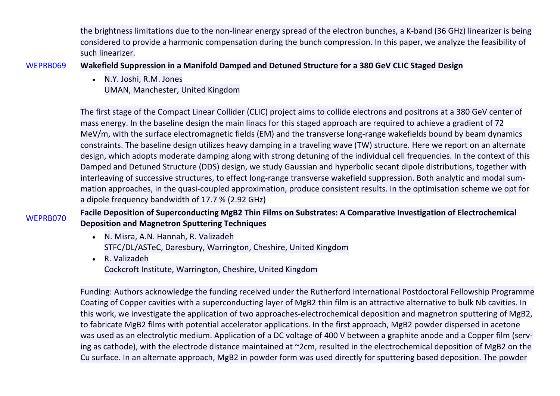the brightness limitations due to the non-linear energy spread of the electron bunches, a K-band (36 GHz) linearizer is being considered to provide a harmonic compensation during the bunch compression. In this paper, we analyze the feasibility of such linearizer.

WEPRB069 **Wakefield Suppression in a Manifold Damped and Detuned Structure for a 380 GeV CLIC Staged Design**

• N.Y. Joshi, R.M. Jones UMAN, Manchester, United Kingdom

The first stage of the Compact Linear Collider (CLIC) project aims to collide electrons and positrons at a 380 GeV center of mass energy. In the baseline design the main linacs for this staged approach are required to achieve a gradient of 72 MeV/m, with the surface electromagnetic fields (EM) and the transverse long-range wakefields bound by beam dynamics constraints. The baseline design utilizes heavy damping in a traveling wave (TW) structure. Here we report on an alternate design, which adopts moderate damping along with strong detuning of the individual cell frequencies. In the context of this Damped and Detuned Structure (DDS) design, we study Gaussian and hyperbolic secant dipole distributions, together with interleaving of successive structures, to effect long-range transverse wakefield suppression. Both analytic and modal summation approaches, in the quasi-coupled approximation, produce consistent results. In the optimisation scheme we opt for a dipole frequency bandwidth of 17.7 % (2.92 GHz)

WEPRB070 **Facile Deposition of Superconducting MgB2 Thin Films on Substrates: A Comparative Investigation of Electrochemical Deposition and Magnetron Sputtering Techniques**

- N. Misra, A.N. Hannah, R. Valizadeh STFC/DL/ASTeC, Daresbury, Warrington, Cheshire, United Kingdom
- R. Valizadeh Cockcroft Institute, Warrington, Cheshire, United Kingdom

Funding: Authors acknowledge the funding received under the Rutherford International Postdoctoral Fellowship Programme Coating of Copper cavities with a superconducting layer of MgB2 thin film is an attractive alternative to bulk Nb cavities. In this work, we investigate the application of two approaches-electrochemical deposition and magnetron sputtering of MgB2, to fabricate MgB2 films with potential accelerator applications. In the first approach, MgB2 powder dispersed in acetone was used as an electrolytic medium. Application of a DC voltage of 400 V between a graphite anode and a Copper film (serving as cathode), with the electrode distance maintained at ~2cm, resulted in the electrochemical deposition of MgB2 on the Cu surface. In an alternate approach, MgB2 in powder form was used directly for sputtering based deposition. The powder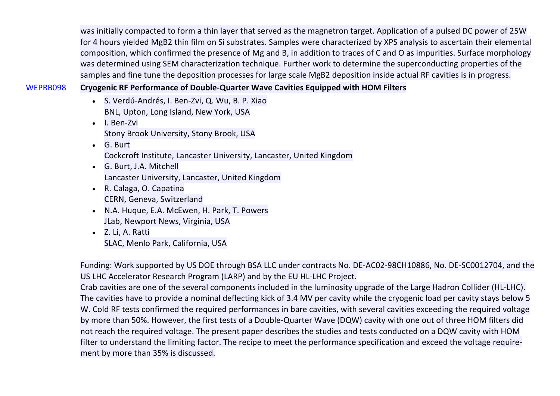was initially compacted to form a thin layer that served as the magnetron target. Application of a pulsed DC power of 25W for 4 hours yielded MgB2 thin film on Si substrates. Samples were characterized by XPS analysis to ascertain their elemental composition, which confirmed the presence of Mg and B, in addition to traces of C and O as impurities. Surface morphology was determined using SEM characterization technique. Further work to determine the superconducting properties of the samples and fine tune the deposition processes for large scale MgB2 deposition inside actual RF cavities is in progress.

## WEPRB098 **Cryogenic RF Performance of Double-Quarter Wave Cavities Equipped with HOM Filters**

- S. Verdú-Andrés, I. Ben-Zvi, Q. Wu, B. P. Xiao BNL, Upton, Long Island, New York, USA
- I. Ben-Zvi Stony Brook University, Stony Brook, USA
- G. Burt Cockcroft Institute, Lancaster University, Lancaster, United Kingdom
- G. Burt, J.A. Mitchell Lancaster University, Lancaster, United Kingdom
- R. Calaga, O. Capatina CERN, Geneva, Switzerland
- N.A. Huque, E.A. McEwen, H. Park, T. Powers JLab, Newport News, Virginia, USA
- Z. Li, A. Ratti SLAC, Menlo Park, California, USA

Funding: Work supported by US DOE through BSA LLC under contracts No. DE-AC02-98CH10886, No. DE-SC0012704, and the US LHC Accelerator Research Program (LARP) and by the EU HL-LHC Project.

Crab cavities are one of the several components included in the luminosity upgrade of the Large Hadron Collider (HL-LHC). The cavities have to provide a nominal deflecting kick of 3.4 MV per cavity while the cryogenic load per cavity stays below 5 W. Cold RF tests confirmed the required performances in bare cavities, with several cavities exceeding the required voltage by more than 50%. However, the first tests of a Double-Quarter Wave (DQW) cavity with one out of three HOM filters did not reach the required voltage. The present paper describes the studies and tests conducted on a DQW cavity with HOM filter to understand the limiting factor. The recipe to meet the performance specification and exceed the voltage requirement by more than 35% is discussed.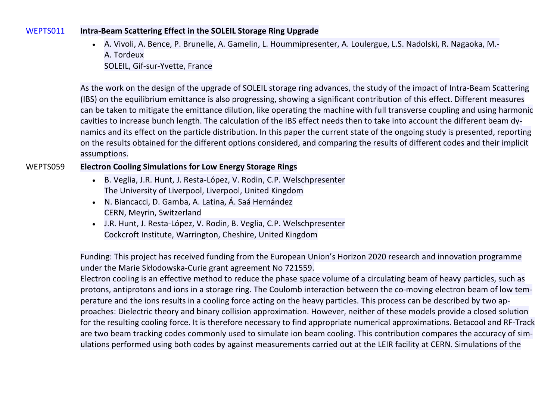#### WEPTS011 **Intra-Beam Scattering Effect in the SOLEIL Storage Ring Upgrade**

• A. Vivoli, A. Bence, P. Brunelle, A. Gamelin, L. Hoummipresenter, A. Loulergue, L.S. Nadolski, R. Nagaoka, M.- A. Tordeux SOLEIL, Gif-sur-Yvette, France

As the work on the design of the upgrade of SOLEIL storage ring advances, the study of the impact of Intra-Beam Scattering (IBS) on the equilibrium emittance is also progressing, showing a significant contribution of this effect. Different measures can be taken to mitigate the emittance dilution, like operating the machine with full transverse coupling and using harmonic cavities to increase bunch length. The calculation of the IBS effect needs then to take into account the different beam dynamics and its effect on the particle distribution. In this paper the current state of the ongoing study is presented, reporting on the results obtained for the different options considered, and comparing the results of different codes and their implicit assumptions.

#### WEPTS059 **Electron Cooling Simulations for Low Energy Storage Rings**

- B. Veglia, J.R. Hunt, J. Resta-López, V. Rodin, C.P. Welschpresenter The University of Liverpool, Liverpool, United Kingdom
- N. Biancacci, D. Gamba, A. Latina, Á. Saá Hernández CERN, Meyrin, Switzerland
- J.R. Hunt, J. Resta-López, V. Rodin, B. Veglia, C.P. Welschpresenter Cockcroft Institute, Warrington, Cheshire, United Kingdom

Funding: This project has received funding from the European Union's Horizon 2020 research and innovation programme under the Marie Skłodowska-Curie grant agreement No 721559.

Electron cooling is an effective method to reduce the phase space volume of a circulating beam of heavy particles, such as protons, antiprotons and ions in a storage ring. The Coulomb interaction between the co-moving electron beam of low temperature and the ions results in a cooling force acting on the heavy particles. This process can be described by two approaches: Dielectric theory and binary collision approximation. However, neither of these models provide a closed solution for the resulting cooling force. It is therefore necessary to find appropriate numerical approximations. Betacool and RF-Track are two beam tracking codes commonly used to simulate ion beam cooling. This contribution compares the accuracy of simulations performed using both codes by against measurements carried out at the LEIR facility at CERN. Simulations of the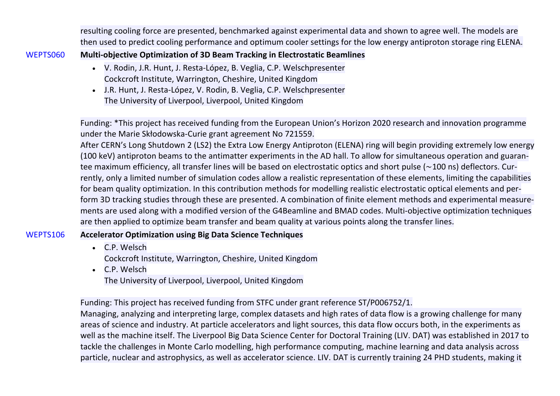resulting cooling force are presented, benchmarked against experimental data and shown to agree well. The models are then used to predict cooling performance and optimum cooler settings for the low energy antiproton storage ring ELENA.

## WEPTS060 **Multi-objective Optimization of 3D Beam Tracking in Electrostatic Beamlines**

- V. Rodin, J.R. Hunt, J. Resta-López, B. Veglia, C.P. Welschpresenter Cockcroft Institute, Warrington, Cheshire, United Kingdom
- J.R. Hunt, J. Resta-López, V. Rodin, B. Veglia, C.P. Welschpresenter The University of Liverpool, Liverpool, United Kingdom

Funding: \*This project has received funding from the European Union's Horizon 2020 research and innovation programme under the Marie Skłodowska-Curie grant agreement No 721559.

After CERN's Long Shutdown 2 (LS2) the Extra Low Energy Antiproton (ELENA) ring will begin providing extremely low energy (100 keV) antiproton beams to the antimatter experiments in the AD hall. To allow for simultaneous operation and guarantee maximum efficiency, all transfer lines will be based on electrostatic optics and short pulse (∼100 ns) deflectors. Currently, only a limited number of simulation codes allow a realistic representation of these elements, limiting the capabilities for beam quality optimization. In this contribution methods for modelling realistic electrostatic optical elements and perform 3D tracking studies through these are presented. A combination of finite element methods and experimental measurements are used along with a modified version of the G4Beamline and BMAD codes. Multi-objective optimization techniques are then applied to optimize beam transfer and beam quality at various points along the transfer lines.

## WEPTS106 **Accelerator Optimization using Big Data Science Techniques**

- C.P. Welsch Cockcroft Institute, Warrington, Cheshire, United Kingdom
- C.P. Welsch The University of Liverpool, Liverpool, United Kingdom

Funding: This project has received funding from STFC under grant reference ST/P006752/1.

Managing, analyzing and interpreting large, complex datasets and high rates of data flow is a growing challenge for many areas of science and industry. At particle accelerators and light sources, this data flow occurs both, in the experiments as well as the machine itself. The Liverpool Big Data Science Center for Doctoral Training (LIV. DAT) was established in 2017 to tackle the challenges in Monte Carlo modelling, high performance computing, machine learning and data analysis across particle, nuclear and astrophysics, as well as accelerator science. LIV. DAT is currently training 24 PHD students, making it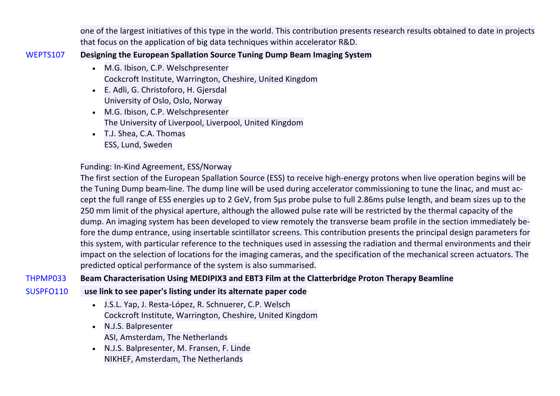one of the largest initiatives of this type in the world. This contribution presents research results obtained to date in projects that focus on the application of big data techniques within accelerator R&D.

## WEPTS107 **Designing the European Spallation Source Tuning Dump Beam Imaging System**

- M.G. Ibison, C.P. Welschpresenter Cockcroft Institute, Warrington, Cheshire, United Kingdom
- E. Adli, G. Christoforo, H. Gjersdal University of Oslo, Oslo, Norway
- M.G. Ibison, C.P. Welschpresenter The University of Liverpool, Liverpool, United Kingdom
- T.J. Shea, C.A. Thomas ESS, Lund, Sweden

# Funding: In-Kind Agreement, ESS/Norway

The first section of the European Spallation Source (ESS) to receive high-energy protons when live operation begins will be the Tuning Dump beam-line. The dump line will be used during accelerator commissioning to tune the linac, and must accept the full range of ESS energies up to 2 GeV, from 5µs probe pulse to full 2.86ms pulse length, and beam sizes up to the 250 mm limit of the physical aperture, although the allowed pulse rate will be restricted by the thermal capacity of the dump. An imaging system has been developed to view remotely the transverse beam profile in the section immediately before the dump entrance, using insertable scintillator screens. This contribution presents the principal design parameters for this system, with particular reference to the techniques used in assessing the radiation and thermal environments and their impact on the selection of locations for the imaging cameras, and the specification of the mechanical screen actuators. The predicted optical performance of the system is also summarised.

THPMP033 **Beam Characterisation Using MEDIPIX3 and EBT3 Film at the Clatterbridge Proton Therapy Beamline**

## SUSPFO110 **use link to see paper's listing under its alternate paper code**

- J.S.L. Yap, J. Resta-López, R. Schnuerer, C.P. Welsch Cockcroft Institute, Warrington, Cheshire, United Kingdom
- N.J.S. Balpresenter ASI, Amsterdam, The Netherlands
- N.J.S. Balpresenter, M. Fransen, F. Linde NIKHEF, Amsterdam, The Netherlands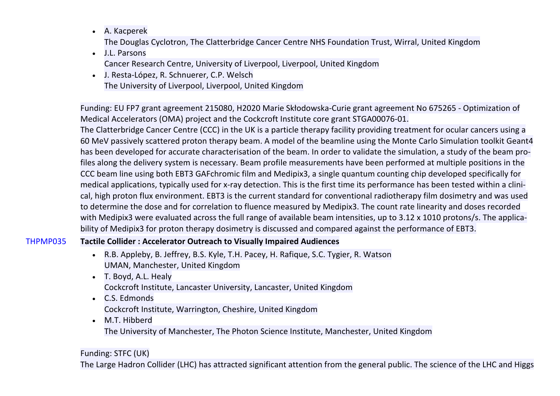- A. Kacperek The Douglas Cyclotron, The Clatterbridge Cancer Centre NHS Foundation Trust, Wirral, United Kingdom
- J.L. Parsons Cancer Research Centre, University of Liverpool, Liverpool, United Kingdom
- J. Resta-López, R. Schnuerer, C.P. Welsch The University of Liverpool, Liverpool, United Kingdom

Funding: EU FP7 grant agreement 215080, H2020 Marie Skłodowska-Curie grant agreement No 675265 - Optimization of Medical Accelerators (OMA) project and the Cockcroft Institute core grant STGA00076-01.

The Clatterbridge Cancer Centre (CCC) in the UK is a particle therapy facility providing treatment for ocular cancers using a 60 MeV passively scattered proton therapy beam. A model of the beamline using the Monte Carlo Simulation toolkit Geant4 has been developed for accurate characterisation of the beam. In order to validate the simulation, a study of the beam profiles along the delivery system is necessary. Beam profile measurements have been performed at multiple positions in the CCC beam line using both EBT3 GAFchromic film and Medipix3, a single quantum counting chip developed specifically for medical applications, typically used for x-ray detection. This is the first time its performance has been tested within a clinical, high proton flux environment. EBT3 is the current standard for conventional radiotherapy film dosimetry and was used to determine the dose and for correlation to fluence measured by Medipix3. The count rate linearity and doses recorded with Medipix3 were evaluated across the full range of available beam intensities, up to 3.12 x 1010 protons/s. The applicability of Medipix3 for proton therapy dosimetry is discussed and compared against the performance of EBT3.

## THPMP035 **Tactile Collider : Accelerator Outreach to Visually Impaired Audiences**

- R.B. Appleby, B. Jeffrey, B.S. Kyle, T.H. Pacey, H. Rafique, S.C. Tygier, R. Watson UMAN, Manchester, United Kingdom
- T. Boyd, A.L. Healy Cockcroft Institute, Lancaster University, Lancaster, United Kingdom
- C.S. Edmonds Cockcroft Institute, Warrington, Cheshire, United Kingdom
- M.T. Hibberd The University of Manchester, The Photon Science Institute, Manchester, United Kingdom

# Funding: STFC (UK)

The Large Hadron Collider (LHC) has attracted significant attention from the general public. The science of the LHC and Higgs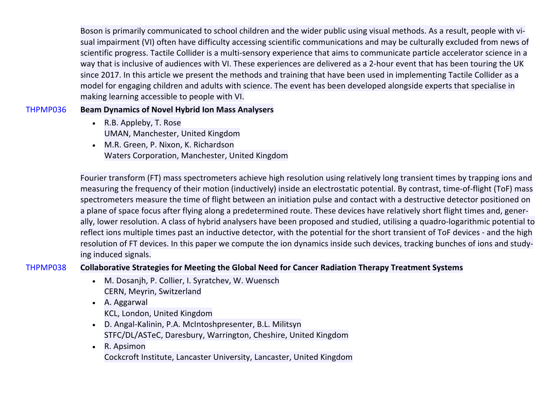Boson is primarily communicated to school children and the wider public using visual methods. As a result, people with visual impairment (VI) often have difficulty accessing scientific communications and may be culturally excluded from news of scientific progress. Tactile Collider is a multi-sensory experience that aims to communicate particle accelerator science in a way that is inclusive of audiences with VI. These experiences are delivered as a 2-hour event that has been touring the UK since 2017. In this article we present the methods and training that have been used in implementing Tactile Collider as a model for engaging children and adults with science. The event has been developed alongside experts that specialise in making learning accessible to people with VI.

## THPMP036 **Beam Dynamics of Novel Hybrid Ion Mass Analysers**

- R.B. Appleby, T. Rose UMAN, Manchester, United Kingdom
- M.R. Green, P. Nixon, K. Richardson Waters Corporation, Manchester, United Kingdom

Fourier transform (FT) mass spectrometers achieve high resolution using relatively long transient times by trapping ions and measuring the frequency of their motion (inductively) inside an electrostatic potential. By contrast, time-of-flight (ToF) mass spectrometers measure the time of flight between an initiation pulse and contact with a destructive detector positioned on a plane of space focus after flying along a predetermined route. These devices have relatively short flight times and, generally, lower resolution. A class of hybrid analysers have been proposed and studied, utilising a quadro-logarithmic potential to reflect ions multiple times past an inductive detector, with the potential for the short transient of ToF devices - and the high resolution of FT devices. In this paper we compute the ion dynamics inside such devices, tracking bunches of ions and studying induced signals.

THPMP038 **Collaborative Strategies for Meeting the Global Need for Cancer Radiation Therapy Treatment Systems**

- M. Dosanjh, P. Collier, I. Syratchev, W. Wuensch CERN, Meyrin, Switzerland
- A. Aggarwal
	- KCL, London, United Kingdom
- D. Angal-Kalinin, P.A. McIntoshpresenter, B.L. Militsyn STFC/DL/ASTeC, Daresbury, Warrington, Cheshire, United Kingdom
- R. Apsimon Cockcroft Institute, Lancaster University, Lancaster, United Kingdom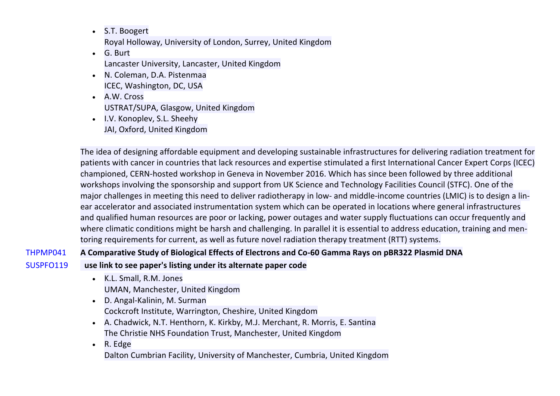- S.T. Boogert Royal Holloway, University of London, Surrey, United Kingdom
- G. Burt Lancaster University, Lancaster, United Kingdom
- N. Coleman, D.A. Pistenmaa ICEC, Washington, DC, USA
- A.W. Cross USTRAT/SUPA, Glasgow, United Kingdom
- I.V. Konoplev, S.L. Sheehy JAI, Oxford, United Kingdom

The idea of designing affordable equipment and developing sustainable infrastructures for delivering radiation treatment for patients with cancer in countries that lack resources and expertise stimulated a first International Cancer Expert Corps (ICEC) championed, CERN-hosted workshop in Geneva in November 2016. Which has since been followed by three additional workshops involving the sponsorship and support from UK Science and Technology Facilities Council (STFC). One of the major challenges in meeting this need to deliver radiotherapy in low- and middle-income countries (LMIC) is to design a linear accelerator and associated instrumentation system which can be operated in locations where general infrastructures and qualified human resources are poor or lacking, power outages and water supply fluctuations can occur frequently and where climatic conditions might be harsh and challenging. In parallel it is essential to address education, training and mentoring requirements for current, as well as future novel radiation therapy treatment (RTT) systems.

# THPMP041 **A Comparative Study of Biological Effects of Electrons and Co-60 Gamma Rays on pBR322 Plasmid DNA**

- SUSPFO119 **use link to see paper's listing under its alternate paper code**
	- K.L. Small, R.M. Jones UMAN, Manchester, United Kingdom
	- D. Angal-Kalinin, M. Surman Cockcroft Institute, Warrington, Cheshire, United Kingdom
	- A. Chadwick, N.T. Henthorn, K. Kirkby, M.J. Merchant, R. Morris, E. Santina The Christie NHS Foundation Trust, Manchester, United Kingdom
	- R. Edge Dalton Cumbrian Facility, University of Manchester, Cumbria, United Kingdom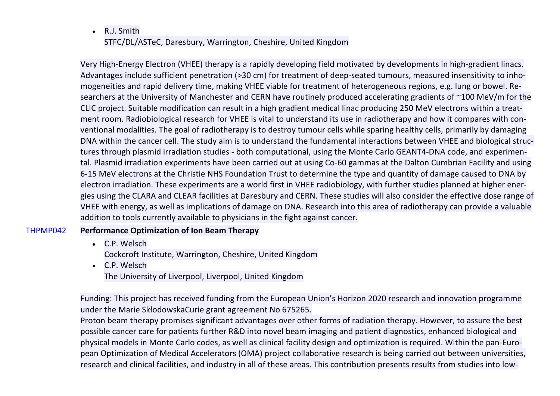• R.J. Smith STFC/DL/ASTeC, Daresbury, Warrington, Cheshire, United Kingdom

Very High-Energy Electron (VHEE) therapy is a rapidly developing field motivated by developments in high-gradient linacs. Advantages include sufficient penetration (>30 cm) for treatment of deep-seated tumours, measured insensitivity to inhomogeneities and rapid delivery time, making VHEE viable for treatment of heterogeneous regions, e.g. lung or bowel. Researchers at the University of Manchester and CERN have routinely produced accelerating gradients of ~100 MeV/m for the CLIC project. Suitable modification can result in a high gradient medical linac producing 250 MeV electrons within a treatment room. Radiobiological research for VHEE is vital to understand its use in radiotherapy and how it compares with conventional modalities. The goal of radiotherapy is to destroy tumour cells while sparing healthy cells, primarily by damaging DNA within the cancer cell. The study aim is to understand the fundamental interactions between VHEE and biological structures through plasmid irradiation studies - both computational, using the Monte Carlo GEANT4-DNA code, and experimental. Plasmid irradiation experiments have been carried out at using Co-60 gammas at the Dalton Cumbrian Facility and using 6-15 MeV electrons at the Christie NHS Foundation Trust to determine the type and quantity of damage caused to DNA by electron irradiation. These experiments are a world first in VHEE radiobiology, with further studies planned at higher energies using the CLARA and CLEAR facilities at Daresbury and CERN. These studies will also consider the effective dose range of VHEE with energy, as well as implications of damage on DNA. Research into this area of radiotherapy can provide a valuable addition to tools currently available to physicians in the fight against cancer.

## THPMP042 **Performance Optimization of Ion Beam Therapy**

- C.P. Welsch Cockcroft Institute, Warrington, Cheshire, United Kingdom
- C.P. Welsch The University of Liverpool, Liverpool, United Kingdom

Funding: This project has received funding from the European Union's Horizon 2020 research and innovation programme under the Marie SkłodowskaCurie grant agreement No 675265.

Proton beam therapy promises significant advantages over other forms of radiation therapy. However, to assure the best possible cancer care for patients further R&D into novel beam imaging and patient diagnostics, enhanced biological and physical models in Monte Carlo codes, as well as clinical facility design and optimization is required. Within the pan-European Optimization of Medical Accelerators (OMA) project collaborative research is being carried out between universities, research and clinical facilities, and industry in all of these areas. This contribution presents results from studies into low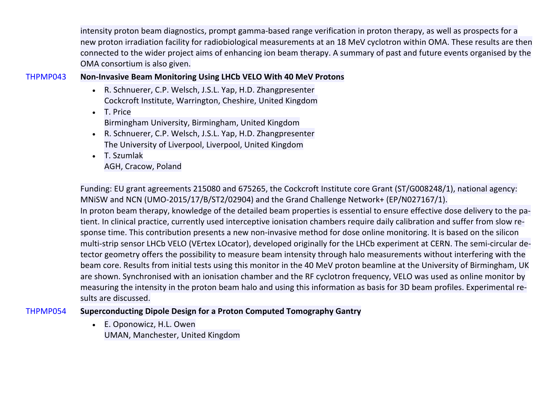intensity proton beam diagnostics, prompt gamma-based range verification in proton therapy, as well as prospects for a new proton irradiation facility for radiobiological measurements at an 18 MeV cyclotron within OMA. These results are then connected to the wider project aims of enhancing ion beam therapy. A summary of past and future events organised by the OMA consortium is also given.

## THPMP043 **Non-Invasive Beam Monitoring Using LHCb VELO With 40 MeV Protons**

- R. Schnuerer, C.P. Welsch, J.S.L. Yap, H.D. Zhangpresenter Cockcroft Institute, Warrington, Cheshire, United Kingdom
- T. Price Birmingham University, Birmingham, United Kingdom
- R. Schnuerer, C.P. Welsch, J.S.L. Yap, H.D. Zhangpresenter The University of Liverpool, Liverpool, United Kingdom
- T. Szumlak AGH, Cracow, Poland

Funding: EU grant agreements 215080 and 675265, the Cockcroft Institute core Grant (ST/G008248/1), national agency: MNiSW and NCN (UMO-2015/17/B/ST2/02904) and the Grand Challenge Network+ (EP/N027167/1). In proton beam therapy, knowledge of the detailed beam properties is essential to ensure effective dose delivery to the patient. In clinical practice, currently used interceptive ionisation chambers require daily calibration and suffer from slow response time. This contribution presents a new non-invasive method for dose online monitoring. It is based on the silicon multi-strip sensor LHCb VELO (VErtex LOcator), developed originally for the LHCb experiment at CERN. The semi-circular detector geometry offers the possibility to measure beam intensity through halo measurements without interfering with the beam core. Results from initial tests using this monitor in the 40 MeV proton beamline at the University of Birmingham, UK are shown. Synchronised with an ionisation chamber and the RF cyclotron frequency, VELO was used as online monitor by measuring the intensity in the proton beam halo and using this information as basis for 3D beam profiles. Experimental results are discussed.

# THPMP054 **Superconducting Dipole Design for a Proton Computed Tomography Gantry**

• E. Oponowicz, H.L. Owen UMAN, Manchester, United Kingdom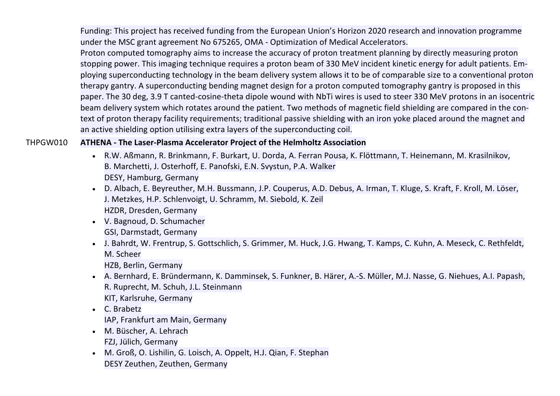Funding: This project has received funding from the European Union's Horizon 2020 research and innovation programme under the MSC grant agreement No 675265, OMA - Optimization of Medical Accelerators.

Proton computed tomography aims to increase the accuracy of proton treatment planning by directly measuring proton stopping power. This imaging technique requires a proton beam of 330 MeV incident kinetic energy for adult patients. Employing superconducting technology in the beam delivery system allows it to be of comparable size to a conventional proton therapy gantry. A superconducting bending magnet design for a proton computed tomography gantry is proposed in this paper. The 30 deg, 3.9 T canted-cosine-theta dipole wound with NbTi wires is used to steer 330 MeV protons in an isocentric beam delivery system which rotates around the patient. Two methods of magnetic field shielding are compared in the context of proton therapy facility requirements; traditional passive shielding with an iron yoke placed around the magnet and an active shielding option utilising extra layers of the superconducting coil.

## THPGW010 **ATHENA - The Laser-Plasma Accelerator Project of the Helmholtz Association**

- R.W. Aßmann, R. Brinkmann, F. Burkart, U. Dorda, A. Ferran Pousa, K. Flöttmann, T. Heinemann, M. Krasilnikov, B. Marchetti, J. Osterhoff, E. Panofski, E.N. Svystun, P.A. Walker DESY, Hamburg, Germany
- D. Albach, E. Beyreuther, M.H. Bussmann, J.P. Couperus, A.D. Debus, A. Irman, T. Kluge, S. Kraft, F. Kroll, M. Löser, J. Metzkes, H.P. Schlenvoigt, U. Schramm, M. Siebold, K. Zeil HZDR, Dresden, Germany
- V. Bagnoud, D. Schumacher GSI, Darmstadt, Germany
- J. Bahrdt, W. Frentrup, S. Gottschlich, S. Grimmer, M. Huck, J.G. Hwang, T. Kamps, C. Kuhn, A. Meseck, C. Rethfeldt, M. Scheer

HZB, Berlin, Germany

- A. Bernhard, E. Bründermann, K. Damminsek, S. Funkner, B. Härer, A.-S. Müller, M.J. Nasse, G. Niehues, A.I. Papash, R. Ruprecht, M. Schuh, J.L. Steinmann KIT, Karlsruhe, Germany
- C. Brabetz IAP, Frankfurt am Main, Germany
- M. Büscher, A. Lehrach FZJ, Jülich, Germany
- M. Groß, O. Lishilin, G. Loisch, A. Oppelt, H.J. Qian, F. Stephan DESY Zeuthen, Zeuthen, Germany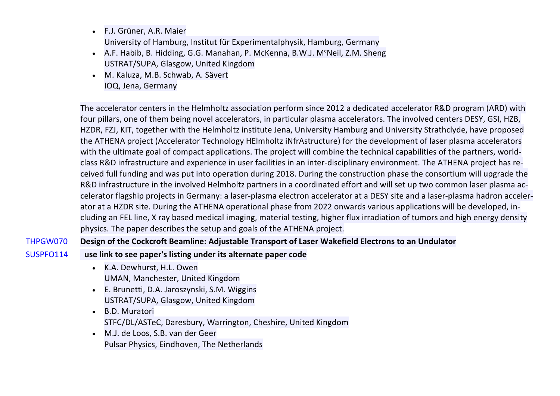- F.J. Grüner, A.R. Maier University of Hamburg, Institut für Experimentalphysik, Hamburg, Germany
- A.F. Habib, B. Hidding, G.G. Manahan, P. McKenna, B.W.J. MᶜNeil, Z.M. Sheng USTRAT/SUPA, Glasgow, United Kingdom
- M. Kaluza, M.B. Schwab, A. Sävert IOQ, Jena, Germany

The accelerator centers in the Helmholtz association perform since 2012 a dedicated accelerator R&D program (ARD) with four pillars, one of them being novel accelerators, in particular plasma accelerators. The involved centers DESY, GSI, HZB, HZDR, FZJ, KIT, together with the Helmholtz institute Jena, University Hamburg and University Strathclyde, have proposed the ATHENA project (Accelerator Technology HElmholtz iNfrAstructure) for the development of laser plasma accelerators with the ultimate goal of compact applications. The project will combine the technical capabilities of the partners, worldclass R&D infrastructure and experience in user facilities in an inter-disciplinary environment. The ATHENA project has received full funding and was put into operation during 2018. During the construction phase the consortium will upgrade the R&D infrastructure in the involved Helmholtz partners in a coordinated effort and will set up two common laser plasma accelerator flagship projects in Germany: a laser-plasma electron accelerator at a DESY site and a laser-plasma hadron accelerator at a HZDR site. During the ATHENA operational phase from 2022 onwards various applications will be developed, including an FEL line, X ray based medical imaging, material testing, higher flux irradiation of tumors and high energy density physics. The paper describes the setup and goals of the ATHENA project.

## THPGW070 **Design of the Cockcroft Beamline: Adjustable Transport of Laser Wakefield Electrons to an Undulator**

## SUSPFO114 **use link to see paper's listing under its alternate paper code**

- K.A. Dewhurst, H.L. Owen UMAN, Manchester, United Kingdom
- E. Brunetti, D.A. Jaroszynski, S.M. Wiggins USTRAT/SUPA, Glasgow, United Kingdom
- B.D. Muratori STFC/DL/ASTeC, Daresbury, Warrington, Cheshire, United Kingdom
- M.J. de Loos, S.B. van der Geer Pulsar Physics, Eindhoven, The Netherlands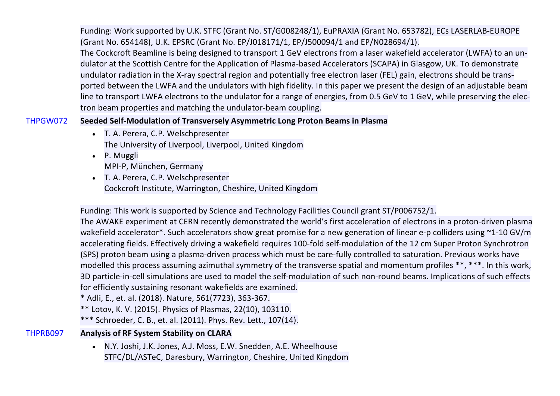Funding: Work supported by U.K. STFC (Grant No. ST/G008248/1), EuPRAXIA (Grant No. 653782), ECs LASERLAB-EUROPE (Grant No. 654148), U.K. EPSRC (Grant No. EP/J018171/1, EP/J500094/1 and EP/N028694/1).

The Cockcroft Beamline is being designed to transport 1 GeV electrons from a laser wakefield accelerator (LWFA) to an undulator at the Scottish Centre for the Application of Plasma-based Accelerators (SCAPA) in Glasgow, UK. To demonstrate undulator radiation in the X-ray spectral region and potentially free electron laser (FEL) gain, electrons should be transported between the LWFA and the undulators with high fidelity. In this paper we present the design of an adjustable beam line to transport LWFA electrons to the undulator for a range of energies, from 0.5 GeV to 1 GeV, while preserving the electron beam properties and matching the undulator-beam coupling.

## THPGW072 **Seeded Self-Modulation of Transversely Asymmetric Long Proton Beams in Plasma**

- T. A. Perera, C.P. Welschpresenter The University of Liverpool, Liverpool, United Kingdom
- P. Muggli MPI-P, München, Germany
- T. A. Perera, C.P. Welschpresenter Cockcroft Institute, Warrington, Cheshire, United Kingdom

Funding: This work is supported by Science and Technology Facilities Council grant ST/P006752/1.

The AWAKE experiment at CERN recently demonstrated the world's first acceleration of electrons in a proton-driven plasma wakefield accelerator\*. Such accelerators show great promise for a new generation of linear e-p colliders using ~1-10 GV/m accelerating fields. Effectively driving a wakefield requires 100-fold self-modulation of the 12 cm Super Proton Synchrotron (SPS) proton beam using a plasma-driven process which must be care-fully controlled to saturation. Previous works have modelled this process assuming azimuthal symmetry of the transverse spatial and momentum profiles \*\*, \*\*\*. In this work, 3D particle-in-cell simulations are used to model the self-modulation of such non-round beams. Implications of such effects for efficiently sustaining resonant wakefields are examined.

\* Adli, E., et. al. (2018). Nature, 561(7723), 363-367.

\*\* Lotov, K. V. (2015). Physics of Plasmas, 22(10), 103110.

\*\*\* Schroeder, C. B., et. al. (2011). Phys. Rev. Lett., 107(14).

# THPRB097 **Analysis of RF System Stability on CLARA**

• N.Y. Joshi, J.K. Jones, A.J. Moss, E.W. Snedden, A.E. Wheelhouse STFC/DL/ASTeC, Daresbury, Warrington, Cheshire, United Kingdom